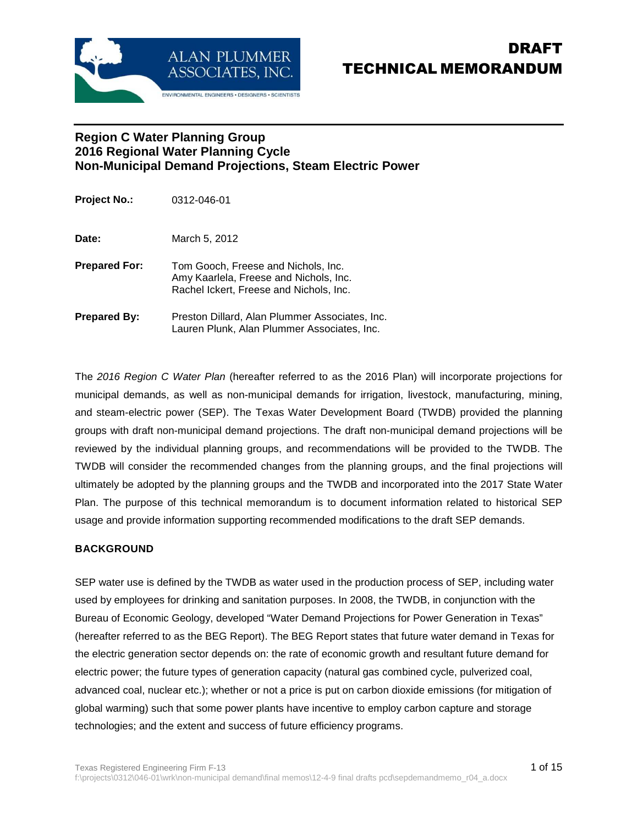

# DRAFT TECHNICAL MEMORANDUM

### **Region C Water Planning Group 2016 Regional Water Planning Cycle Non-Municipal Demand Projections, Steam Electric Power**

| Project No.:         | 0312-046-01                                                                                                              |
|----------------------|--------------------------------------------------------------------------------------------------------------------------|
| Date:                | March 5, 2012                                                                                                            |
| <b>Prepared For:</b> | Tom Gooch, Freese and Nichols, Inc.<br>Amy Kaarlela, Freese and Nichols, Inc.<br>Rachel Ickert, Freese and Nichols, Inc. |
| Prepared By:         | Preston Dillard, Alan Plummer Associates, Inc.<br>Lauren Plunk, Alan Plummer Associates, Inc.                            |

The 2016 Region C Water Plan (hereafter referred to as the 2016 Plan) will incorporate projections for municipal demands, as well as non-municipal demands for irrigation, livestock, manufacturing, mining, and steam-electric power (SEP). The Texas Water Development Board (TWDB) provided the planning groups with draft non-municipal demand projections. The draft non-municipal demand projections will be reviewed by the individual planning groups, and recommendations will be provided to the TWDB. The TWDB will consider the recommended changes from the planning groups, and the final projections will ultimately be adopted by the planning groups and the TWDB and incorporated into the 2017 State Water Plan. The purpose of this technical memorandum is to document information related to historical SEP usage and provide information supporting recommended modifications to the draft SEP demands.

#### **BACKGROUND**

SEP water use is defined by the TWDB as water used in the production process of SEP, including water used by employees for drinking and sanitation purposes. In 2008, the TWDB, in conjunction with the Bureau of Economic Geology, developed "Water Demand Projections for Power Generation in Texas" (hereafter referred to as the BEG Report). The BEG Report states that future water demand in Texas for the electric generation sector depends on: the rate of economic growth and resultant future demand for electric power; the future types of generation capacity (natural gas combined cycle, pulverized coal, advanced coal, nuclear etc.); whether or not a price is put on carbon dioxide emissions (for mitigation of global warming) such that some power plants have incentive to employ carbon capture and storage technologies; and the extent and success of future efficiency programs.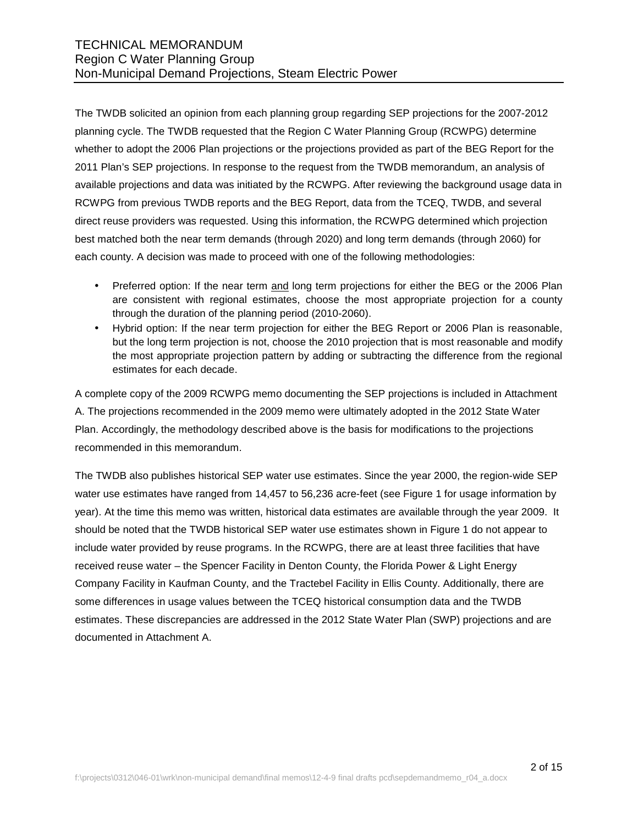The TWDB solicited an opinion from each planning group regarding SEP projections for the 2007-2012 planning cycle. The TWDB requested that the Region C Water Planning Group (RCWPG) determine whether to adopt the 2006 Plan projections or the projections provided as part of the BEG Report for the 2011 Plan's SEP projections. In response to the request from the TWDB memorandum, an analysis of available projections and data was initiated by the RCWPG. After reviewing the background usage data in RCWPG from previous TWDB reports and the BEG Report, data from the TCEQ, TWDB, and several direct reuse providers was requested. Using this information, the RCWPG determined which projection best matched both the near term demands (through 2020) and long term demands (through 2060) for each county. A decision was made to proceed with one of the following methodologies:

- Preferred option: If the near term and long term projections for either the BEG or the 2006 Plan are consistent with regional estimates, choose the most appropriate projection for a county through the duration of the planning period (2010-2060).
- Hybrid option: If the near term projection for either the BEG Report or 2006 Plan is reasonable, but the long term projection is not, choose the 2010 projection that is most reasonable and modify the most appropriate projection pattern by adding or subtracting the difference from the regional estimates for each decade.

A complete copy of the 2009 RCWPG memo documenting the SEP projections is included in Attachment A. The projections recommended in the 2009 memo were ultimately adopted in the 2012 State Water Plan. Accordingly, the methodology described above is the basis for modifications to the projections recommended in this memorandum.

The TWDB also publishes historical SEP water use estimates. Since the year 2000, the region-wide SEP water use estimates have ranged from 14,457 to 56,236 acre-feet (see Figure 1 for usage information by year). At the time this memo was written, historical data estimates are available through the year 2009. It should be noted that the TWDB historical SEP water use estimates shown in Figure 1 do not appear to include water provided by reuse programs. In the RCWPG, there are at least three facilities that have received reuse water – the Spencer Facility in Denton County, the Florida Power & Light Energy Company Facility in Kaufman County, and the Tractebel Facility in Ellis County. Additionally, there are some differences in usage values between the TCEQ historical consumption data and the TWDB estimates. These discrepancies are addressed in the 2012 State Water Plan (SWP) projections and are documented in Attachment A.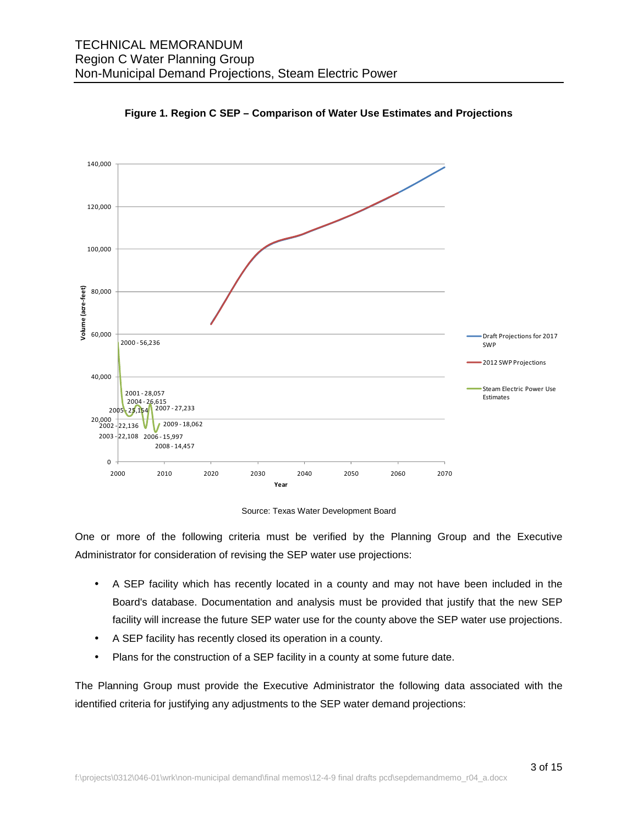



Source: Texas Water Development Board

One or more of the following criteria must be verified by the Planning Group and the Executive Administrator for consideration of revising the SEP water use projections:

- A SEP facility which has recently located in a county and may not have been included in the Board's database. Documentation and analysis must be provided that justify that the new SEP facility will increase the future SEP water use for the county above the SEP water use projections.
- A SEP facility has recently closed its operation in a county.
- Plans for the construction of a SEP facility in a county at some future date.

The Planning Group must provide the Executive Administrator the following data associated with the identified criteria for justifying any adjustments to the SEP water demand projections: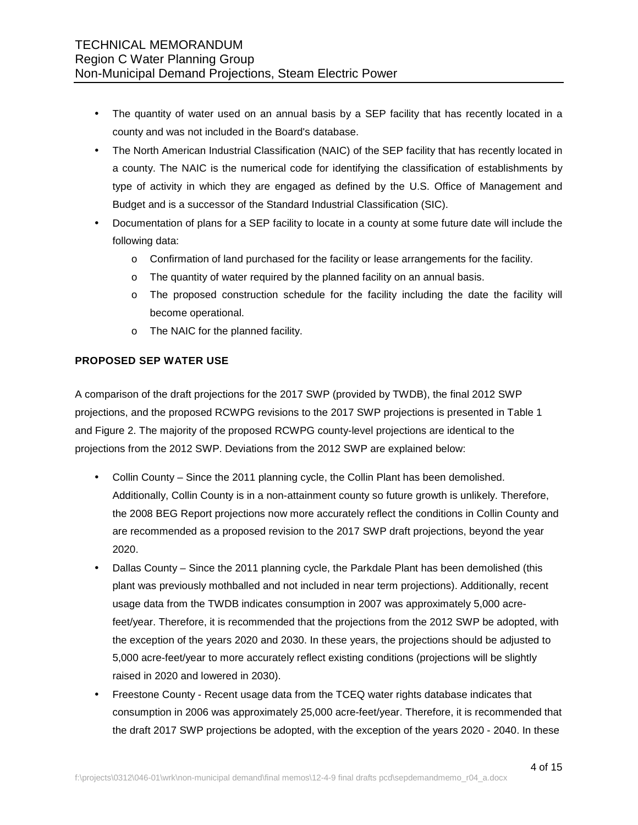- The quantity of water used on an annual basis by a SEP facility that has recently located in a county and was not included in the Board's database.
- The North American Industrial Classification (NAIC) of the SEP facility that has recently located in a county. The NAIC is the numerical code for identifying the classification of establishments by type of activity in which they are engaged as defined by the U.S. Office of Management and Budget and is a successor of the Standard Industrial Classification (SIC).
- Documentation of plans for a SEP facility to locate in a county at some future date will include the following data:
	- o Confirmation of land purchased for the facility or lease arrangements for the facility.
	- $\circ$  The quantity of water required by the planned facility on an annual basis.
	- o The proposed construction schedule for the facility including the date the facility will become operational.
	- o The NAIC for the planned facility.

#### **PROPOSED SEP WATER USE**

A comparison of the draft projections for the 2017 SWP (provided by TWDB), the final 2012 SWP projections, and the proposed RCWPG revisions to the 2017 SWP projections is presented in Table 1 and Figure 2. The majority of the proposed RCWPG county-level projections are identical to the projections from the 2012 SWP. Deviations from the 2012 SWP are explained below:

- Collin County Since the 2011 planning cycle, the Collin Plant has been demolished. Additionally, Collin County is in a non-attainment county so future growth is unlikely. Therefore, the 2008 BEG Report projections now more accurately reflect the conditions in Collin County and are recommended as a proposed revision to the 2017 SWP draft projections, beyond the year 2020.
- Dallas County Since the 2011 planning cycle, the Parkdale Plant has been demolished (this plant was previously mothballed and not included in near term projections). Additionally, recent usage data from the TWDB indicates consumption in 2007 was approximately 5,000 acrefeet/year. Therefore, it is recommended that the projections from the 2012 SWP be adopted, with the exception of the years 2020 and 2030. In these years, the projections should be adjusted to 5,000 acre-feet/year to more accurately reflect existing conditions (projections will be slightly raised in 2020 and lowered in 2030).
- Freestone County Recent usage data from the TCEQ water rights database indicates that consumption in 2006 was approximately 25,000 acre-feet/year. Therefore, it is recommended that the draft 2017 SWP projections be adopted, with the exception of the years 2020 - 2040. In these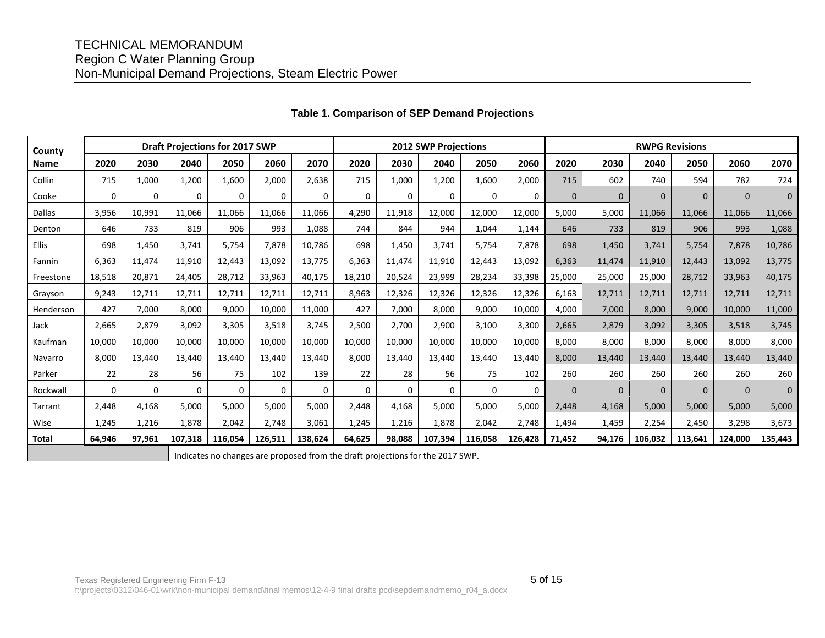## TECHNICAL MEMORANDUM Region C Water Planning Group Non-Municipal Demand Projections, Steam Electric Power

| County      | <b>Draft Projections for 2017 SWP</b> |          |          |          |          | 2012 SWP Projections |          |          |          |          |          | <b>RWPG Revisions</b> |          |          |          |          |          |
|-------------|---------------------------------------|----------|----------|----------|----------|----------------------|----------|----------|----------|----------|----------|-----------------------|----------|----------|----------|----------|----------|
| <b>Name</b> | 2020                                  | 2030     | 2040     | 2050     | 2060     | 2070                 | 2020     | 2030     | 2040     | 2050     | 2060     | 2020                  | 2030     | 2040     | 2050     | 2060     | 2070     |
| Collin      | 715                                   | 1,000    | 1,200    | 1.600    | 2,000    | 2,638                | 715      | 1,000    | 1,200    | 1,600    | 2,000    | 715                   | 602      | 740      | 594      | 782      | 724      |
| Cooke       | $\Omega$                              | $\Omega$ | $\Omega$ | $\Omega$ | $\Omega$ | $\Omega$             | $\Omega$ | $\Omega$ | $\Omega$ | $\Omega$ | $\Omega$ | $\Omega$              | $\Omega$ | $\Omega$ | $\Omega$ | $\Omega$ | $\Omega$ |
| Dallas      | 3,956                                 | 10,991   | 11,066   | 11,066   | 11,066   | 11,066               | 4,290    | 11.918   | 12,000   | 12,000   | 12,000   | 5,000                 | 5,000    | 11,066   | 11,066   | 11,066   | 11,066   |
| Denton      | 646                                   | 733      | 819      | 906      | 993      | 1,088                | 744      | 844      | 944      | 1,044    | 1,144    | 646                   | 733      | 819      | 906      | 993      | 1,088    |
| Ellis       | 698                                   | 1,450    | 3,741    | 5,754    | 7,878    | 10,786               | 698      | 1,450    | 3,741    | 5,754    | 7,878    | 698                   | 1,450    | 3,741    | 5,754    | 7,878    | 10,786   |
| Fannin      | 6,363                                 | 11.474   | 11,910   | 12,443   | 13,092   | 13,775               | 6,363    | 11,474   | 11,910   | 12,443   | 13,092   | 6,363                 | 11,474   | 11.910   | 12,443   | 13,092   | 13,775   |
| Freestone   | 18,518                                | 20,871   | 24,405   | 28,712   | 33,963   | 40,175               | 18,210   | 20,524   | 23,999   | 28,234   | 33,398   | 25,000                | 25,000   | 25,000   | 28,712   | 33,963   | 40,175   |
| Grayson     | 9.243                                 | 12,711   | 12,711   | 12,711   | 12,711   | 12,711               | 8,963    | 12,326   | 12,326   | 12,326   | 12,326   | 6,163                 | 12,711   | 12.711   | 12,711   | 12,711   | 12,711   |
| Henderson   | 427                                   | 7,000    | 8.000    | 9,000    | 10,000   | 11,000               | 427      | 7,000    | 8,000    | 9,000    | 10,000   | 4,000                 | 7,000    | 8.000    | 9.000    | 10,000   | 11,000   |
| Jack        | 2.665                                 | 2.879    | 3,092    | 3,305    | 3,518    | 3,745                | 2,500    | 2,700    | 2,900    | 3,100    | 3,300    | 2,665                 | 2,879    | 3.092    | 3.305    | 3,518    | 3,745    |
| Kaufman     | 10,000                                | 10,000   | 10,000   | 10,000   | 10,000   | 10,000               | 10,000   | 10,000   | 10,000   | 10,000   | 10,000   | 8,000                 | 8,000    | 8,000    | 8,000    | 8,000    | 8,000    |
| Navarro     | 8,000                                 | 13,440   | 13,440   | 13,440   | 13,440   | 13,440               | 8,000    | 13,440   | 13,440   | 13,440   | 13,440   | 8,000                 | 13,440   | 13.440   | 13.440   | 13,440   | 13,440   |
| Parker      | 22                                    | 28       | 56       | 75       | 102      | 139                  | 22       | 28       | 56       | 75       | 102      | 260                   | 260      | 260      | 260      | 260      | 260      |
| Rockwall    | $\Omega$                              | $\Omega$ | $\Omega$ | $\Omega$ | $\Omega$ | $\Omega$             | $\Omega$ | $\Omega$ | 0        | $\Omega$ | $\Omega$ | $\Omega$              | $\Omega$ | $\Omega$ | $\Omega$ | $\Omega$ | $\Omega$ |
| Tarrant     | 2,448                                 | 4,168    | 5,000    | 5,000    | 5,000    | 5,000                | 2,448    | 4,168    | 5,000    | 5,000    | 5,000    | 2,448                 | 4,168    | 5.000    | 5.000    | 5,000    | 5,000    |
| Wise        | 1,245                                 | 1,216    | 1,878    | 2,042    | 2,748    | 3,061                | 1,245    | 1,216    | 1,878    | 2,042    | 2,748    | 1,494                 | 1,459    | 2,254    | 2,450    | 3,298    | 3,673    |
| Total       | 64,946                                | 97.961   | 107.318  | 116.054  | 126.511  | 138.624              | 64.625   | 98.088   | 107.394  | 116.058  | 126,428  | 71,452                | 94.176   | 106.032  | 113.641  | 124.000  | 135,443  |

#### **Table 1. Comparison of SEP Demand Projections**

Indicates no changes are proposed from the draft projections for the 2017 SWP.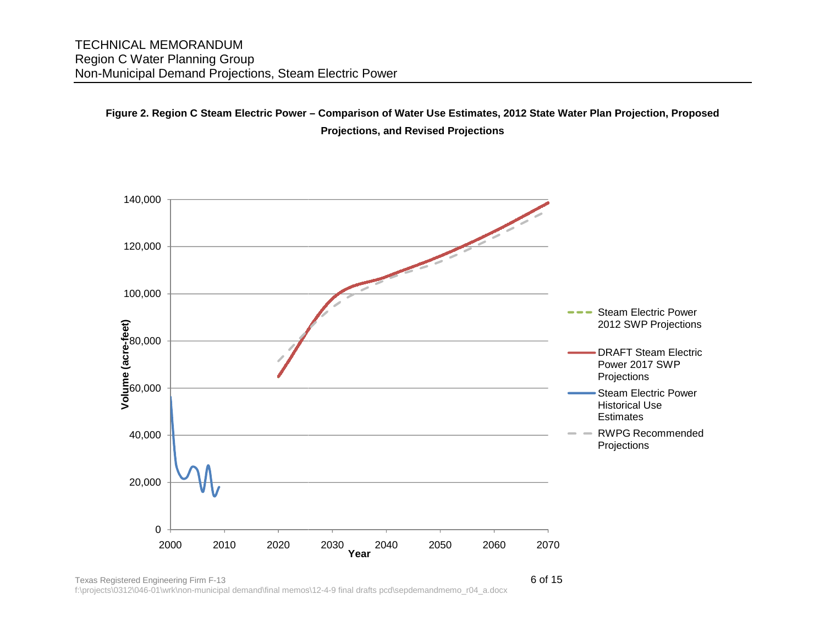## **Figure 2. Region C Steam Electric Power– Comparison of Water Use Estimates, 2012 State Water Plan Projection, Proposed Projections, and Revised Projections**



Texas Registered Engineering Firm F-13f:\projects\0312\046-01\wrk\non-municipal demand\final memosfinal memos\12-4-9 final drafts pcd\sepdemandmemo\_r04\_a.docx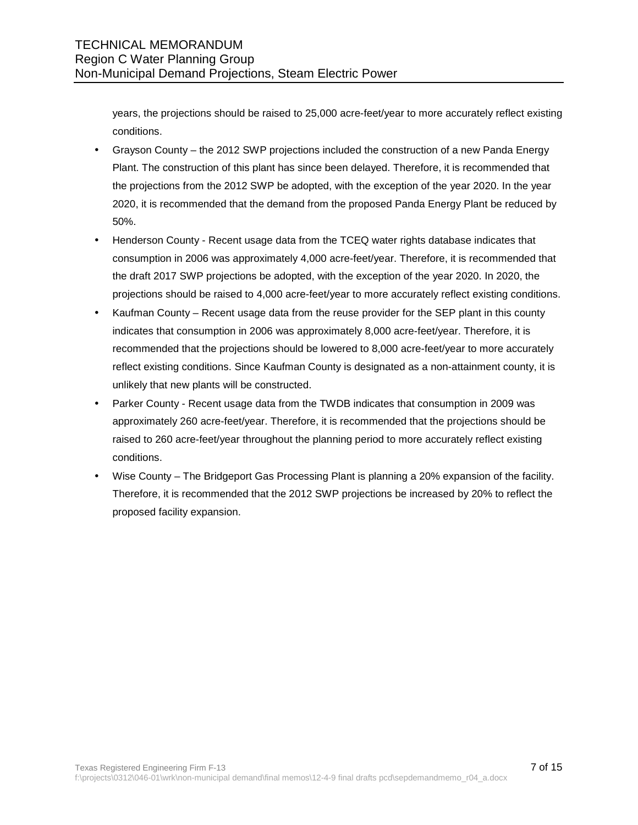years, the projections should be raised to 25,000 acre-feet/year to more accurately reflect existing conditions.

- Grayson County the 2012 SWP projections included the construction of a new Panda Energy Plant. The construction of this plant has since been delayed. Therefore, it is recommended that the projections from the 2012 SWP be adopted, with the exception of the year 2020. In the year 2020, it is recommended that the demand from the proposed Panda Energy Plant be reduced by 50%.
- Henderson County Recent usage data from the TCEQ water rights database indicates that consumption in 2006 was approximately 4,000 acre-feet/year. Therefore, it is recommended that the draft 2017 SWP projections be adopted, with the exception of the year 2020. In 2020, the projections should be raised to 4,000 acre-feet/year to more accurately reflect existing conditions.
- Kaufman County Recent usage data from the reuse provider for the SEP plant in this county indicates that consumption in 2006 was approximately 8,000 acre-feet/year. Therefore, it is recommended that the projections should be lowered to 8,000 acre-feet/year to more accurately reflect existing conditions. Since Kaufman County is designated as a non-attainment county, it is unlikely that new plants will be constructed.
- Parker County Recent usage data from the TWDB indicates that consumption in 2009 was approximately 260 acre-feet/year. Therefore, it is recommended that the projections should be raised to 260 acre-feet/year throughout the planning period to more accurately reflect existing conditions.
- Wise County The Bridgeport Gas Processing Plant is planning a 20% expansion of the facility. Therefore, it is recommended that the 2012 SWP projections be increased by 20% to reflect the proposed facility expansion.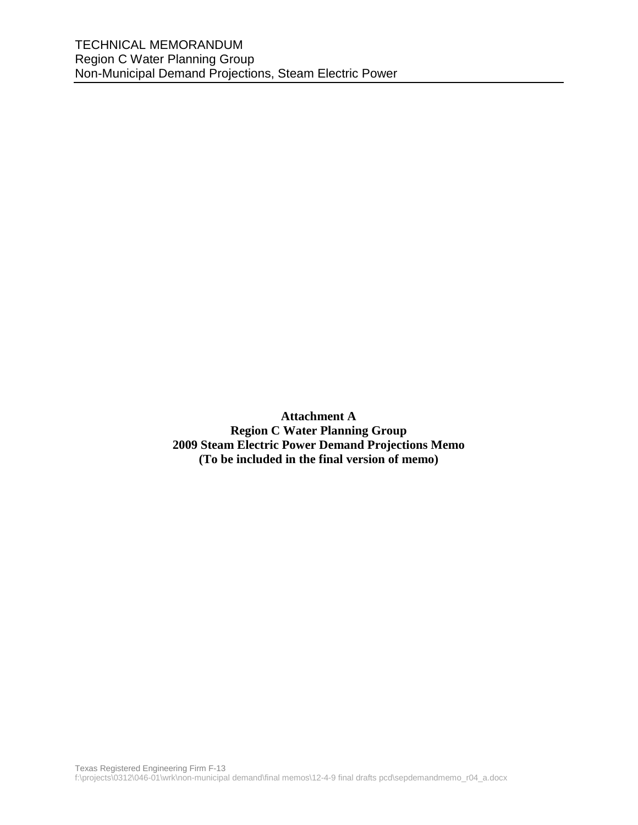**Attachment A Region C Water Planning Group 2009 Steam Electric Power Demand Projections Memo (To be included in the final version of memo)**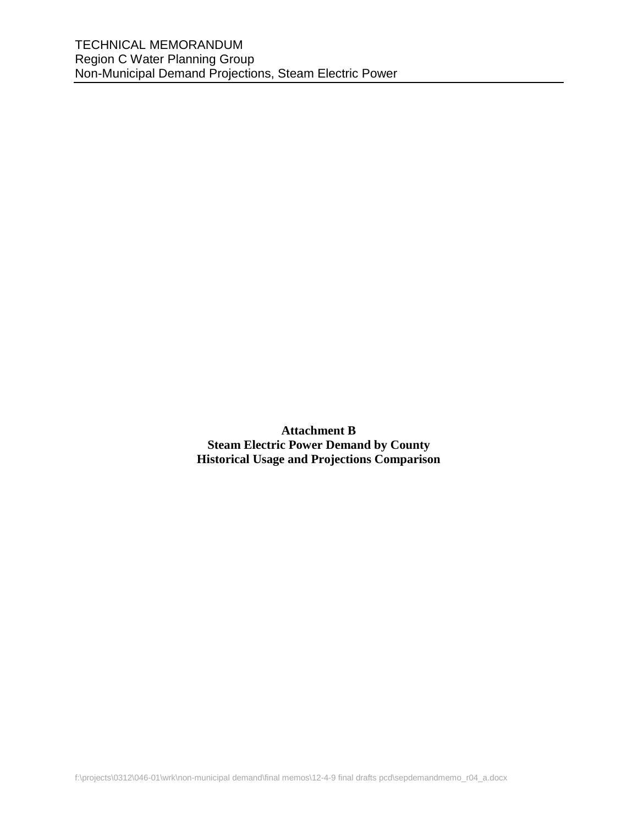**Attachment B Steam Electric Power Demand by County Historical Usage and Projections Comparison**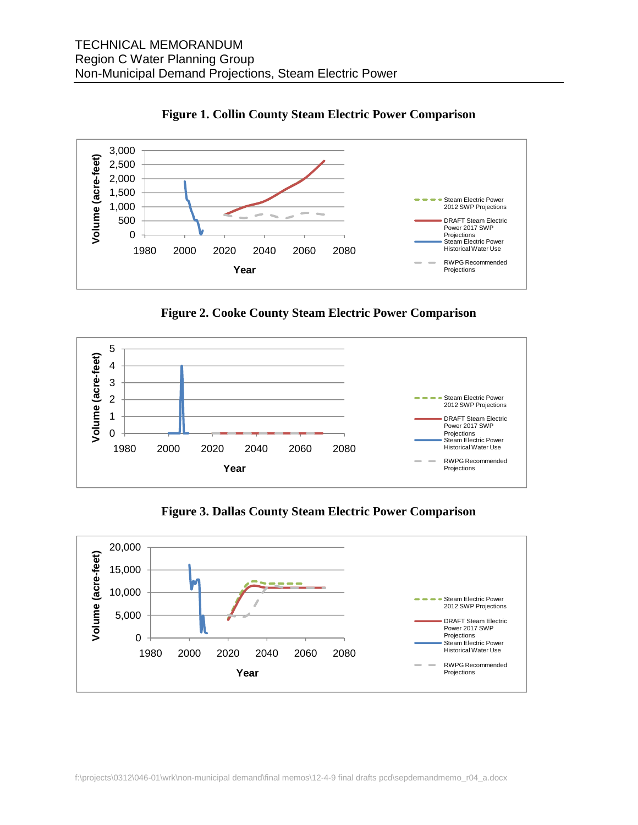

**Figure 1. Collin County Steam Electric Power Comparison** 

**Figure 2. Cooke County Steam Electric Power Comparison** 



**Figure 3. Dallas County Steam Electric Power Comparison** 

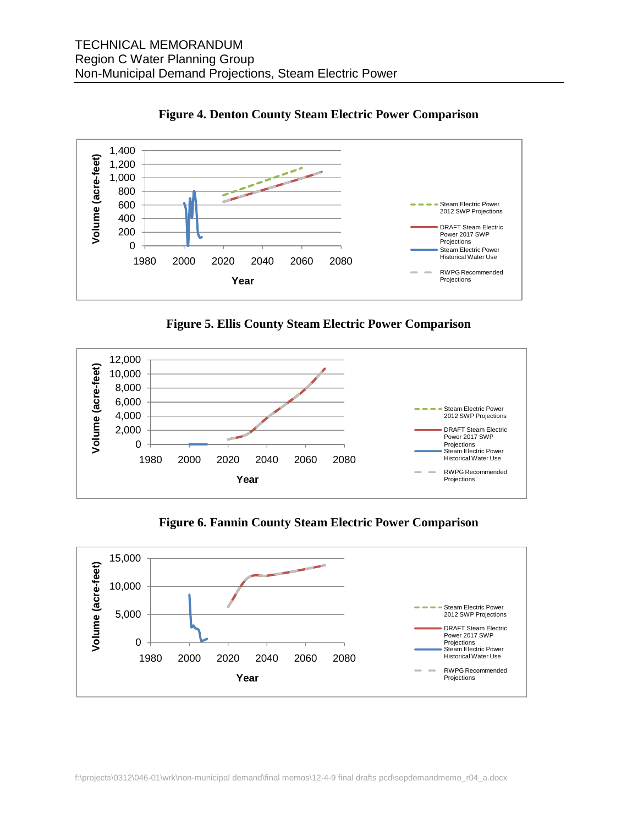

**Figure 4. Denton County Steam Electric Power Comparison** 

**Figure 5. Ellis County Steam Electric Power Comparison** 



**Figure 6. Fannin County Steam Electric Power Comparison** 

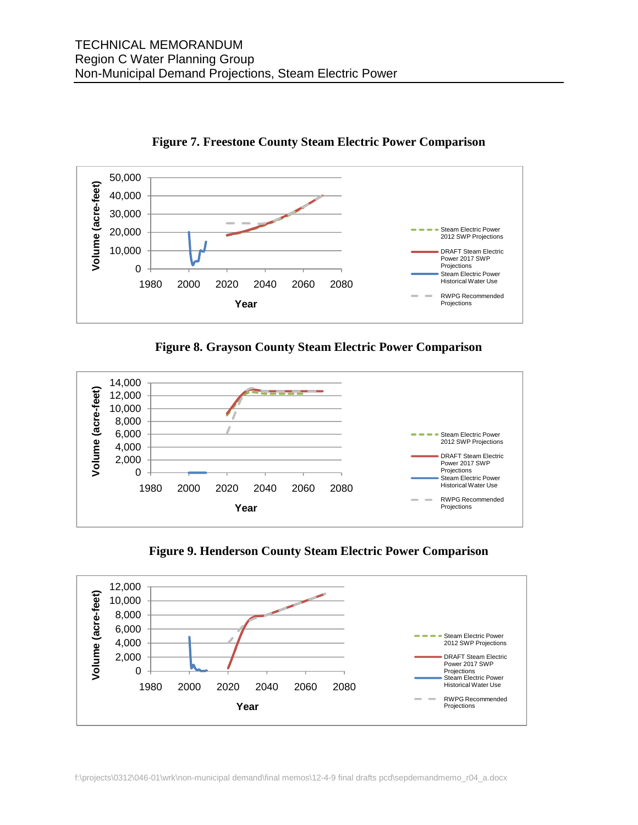



**Figure 8. Grayson County Steam Electric Power Comparison** 





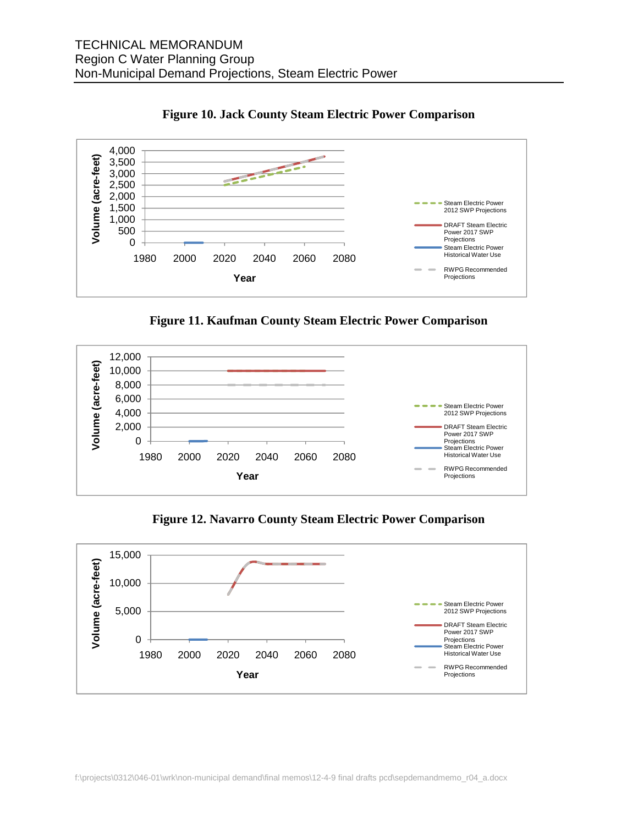

**Figure 10. Jack County Steam Electric Power Comparison** 

**Figure 11. Kaufman County Steam Electric Power Comparison** 



**Figure 12. Navarro County Steam Electric Power Comparison** 

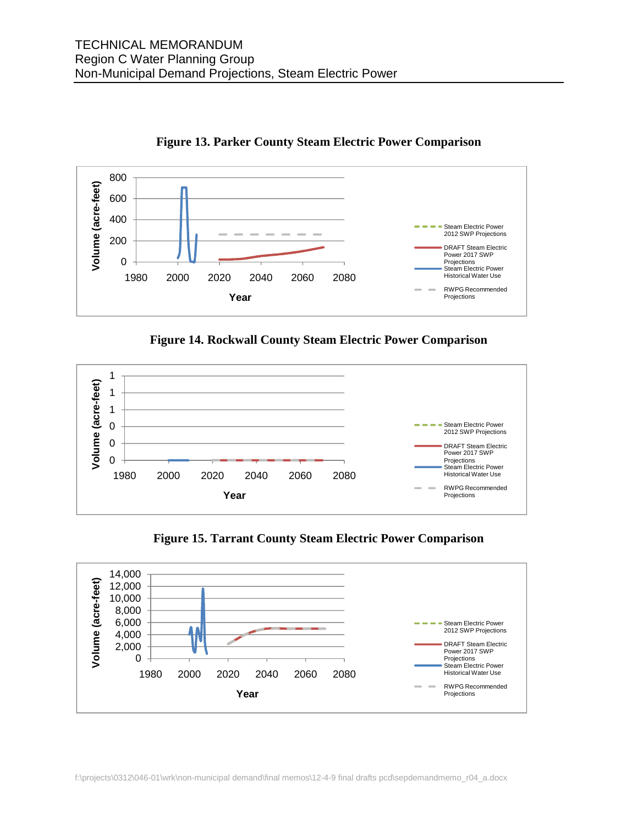



**Figure 14. Rockwall County Steam Electric Power Comparison** 



**Figure 15. Tarrant County Steam Electric Power Comparison**